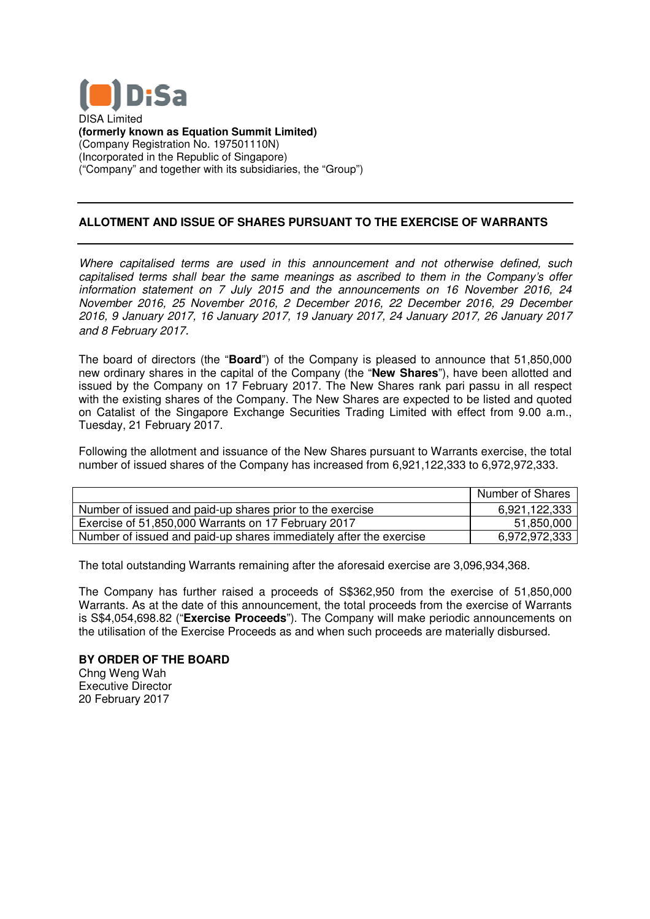

DISA Limited **(formerly known as Equation Summit Limited)** (Company Registration No. 197501110N) (Incorporated in the Republic of Singapore) ("Company" and together with its subsidiaries, the "Group")

## **ALLOTMENT AND ISSUE OF SHARES PURSUANT TO THE LOTMENT EXERCISE OF WARRANTS**

Where capitalised terms are used in this announcement and not otherwise defined, such capitalised terms shall bear the same meanings as ascribed to them in the Company's offer information statement on 7 July 2015 and the announcements on 16 November 2016, 24 November 2016, 25 November 2016, 2 December 2016, 22 December 2016, 29 December 2016, 9 January 2017, 16 January 2017, 19 January 2017, 24 January 2017, 26 January 2017 and 8 February 2017.

The board of directors (the "**Board** ") of the Company is pleased to announce that 51,850,000 new ordinary shares in the capital of the Company (the " **New Shares**"), have been allotted and issued by the Company on 17 February 2017. The New Shares rank pari passu passu in all respect with the existing shares of the Company. The New Shares are expected to be listed and quoted on Catalist of the Singapore Exchange Securities Trading Limited with effect from 9.00 a.m., Tuesday, 21 February 2017. In 17 February 2017. The New Shares rank pari passum the Company. The New Shares are expected to be list ore Exchange Securities Trading Limited with effect fr<br>7.<br>d issuance of the New Shares pursuant to Warrants exergent

Following the allotment and issuance of the New Shares pursuant to Warrants exercise, the total number of issued shares of the Company has increased from 6,972,972,333.

|                                                                    | Number of Shares |
|--------------------------------------------------------------------|------------------|
| Number of issued and paid-up shares prior to the exercise          | 6,921,122,333    |
| Exercise of 51,850,000 Warrants on 17 February 2017                | 51,850,000       |
| Number of issued and paid-up shares immediately after the exercise | 6,972,972,333    |

Number of issued and paid-up shares immediately after the exercise \_\_\_\_\_\_\_\_\_\_\_\_6,972,9<br>The total outstanding Warrants remaining after the aforesaid exercise are 3,096,934,368.

The Company has further raised a proceeds of S\$362,950 from the exercise of 51,850,000 Warrants. As at the date of this announcement, the total proceeds from the exercise of Warrants is S\$4,054,698.82 ("**Exercise Proceeds** "). The Company will make periodic announcements on the utilisation of the Exercise Proceeds as and when such proceeds are materially disbursed.

## **BY ORDER OF THE BOARD** Chng Weng Wah

Executive Director 20 February 2017